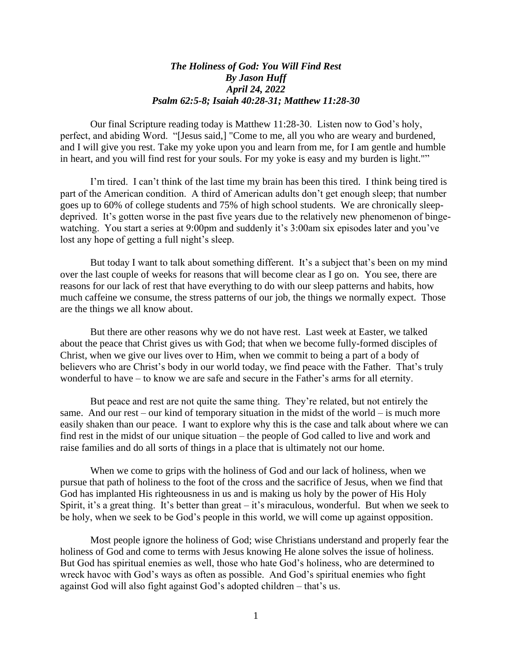## *The Holiness of God: You Will Find Rest By Jason Huff April 24, 2022 Psalm 62:5-8; Isaiah 40:28-31; Matthew 11:28-30*

Our final Scripture reading today is Matthew 11:28-30. Listen now to God's holy, perfect, and abiding Word. "[Jesus said,] "Come to me, all you who are weary and burdened, and I will give you rest. Take my yoke upon you and learn from me, for I am gentle and humble in heart, and you will find rest for your souls. For my yoke is easy and my burden is light.""

I'm tired. I can't think of the last time my brain has been this tired. I think being tired is part of the American condition. A third of American adults don't get enough sleep; that number goes up to 60% of college students and 75% of high school students. We are chronically sleepdeprived. It's gotten worse in the past five years due to the relatively new phenomenon of bingewatching. You start a series at 9:00pm and suddenly it's 3:00am six episodes later and you've lost any hope of getting a full night's sleep.

But today I want to talk about something different. It's a subject that's been on my mind over the last couple of weeks for reasons that will become clear as I go on. You see, there are reasons for our lack of rest that have everything to do with our sleep patterns and habits, how much caffeine we consume, the stress patterns of our job, the things we normally expect. Those are the things we all know about.

But there are other reasons why we do not have rest. Last week at Easter, we talked about the peace that Christ gives us with God; that when we become fully-formed disciples of Christ, when we give our lives over to Him, when we commit to being a part of a body of believers who are Christ's body in our world today, we find peace with the Father. That's truly wonderful to have – to know we are safe and secure in the Father's arms for all eternity.

But peace and rest are not quite the same thing. They're related, but not entirely the same. And our rest – our kind of temporary situation in the midst of the world – is much more easily shaken than our peace. I want to explore why this is the case and talk about where we can find rest in the midst of our unique situation – the people of God called to live and work and raise families and do all sorts of things in a place that is ultimately not our home.

When we come to grips with the holiness of God and our lack of holiness, when we pursue that path of holiness to the foot of the cross and the sacrifice of Jesus, when we find that God has implanted His righteousness in us and is making us holy by the power of His Holy Spirit, it's a great thing. It's better than great – it's miraculous, wonderful. But when we seek to be holy, when we seek to be God's people in this world, we will come up against opposition.

Most people ignore the holiness of God; wise Christians understand and properly fear the holiness of God and come to terms with Jesus knowing He alone solves the issue of holiness. But God has spiritual enemies as well, those who hate God's holiness, who are determined to wreck havoc with God's ways as often as possible. And God's spiritual enemies who fight against God will also fight against God's adopted children – that's us.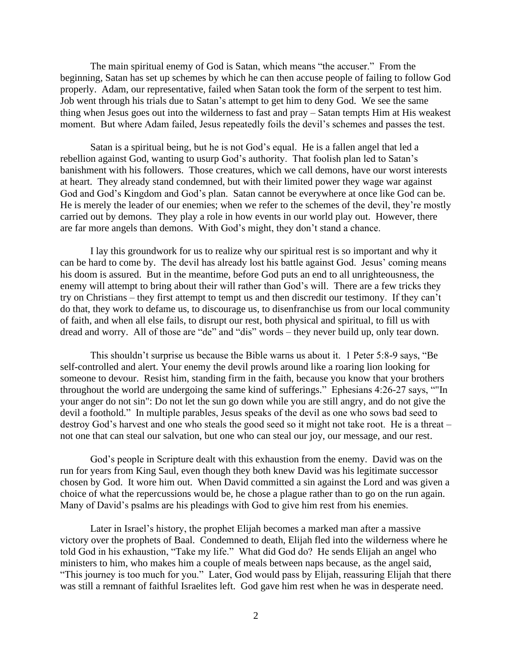The main spiritual enemy of God is Satan, which means "the accuser." From the beginning, Satan has set up schemes by which he can then accuse people of failing to follow God properly. Adam, our representative, failed when Satan took the form of the serpent to test him. Job went through his trials due to Satan's attempt to get him to deny God. We see the same thing when Jesus goes out into the wilderness to fast and pray – Satan tempts Him at His weakest moment. But where Adam failed, Jesus repeatedly foils the devil's schemes and passes the test.

Satan is a spiritual being, but he is not God's equal. He is a fallen angel that led a rebellion against God, wanting to usurp God's authority. That foolish plan led to Satan's banishment with his followers. Those creatures, which we call demons, have our worst interests at heart. They already stand condemned, but with their limited power they wage war against God and God's Kingdom and God's plan. Satan cannot be everywhere at once like God can be. He is merely the leader of our enemies; when we refer to the schemes of the devil, they're mostly carried out by demons. They play a role in how events in our world play out. However, there are far more angels than demons. With God's might, they don't stand a chance.

I lay this groundwork for us to realize why our spiritual rest is so important and why it can be hard to come by. The devil has already lost his battle against God. Jesus' coming means his doom is assured. But in the meantime, before God puts an end to all unrighteousness, the enemy will attempt to bring about their will rather than God's will. There are a few tricks they try on Christians – they first attempt to tempt us and then discredit our testimony. If they can't do that, they work to defame us, to discourage us, to disenfranchise us from our local community of faith, and when all else fails, to disrupt our rest, both physical and spiritual, to fill us with dread and worry. All of those are "de" and "dis" words – they never build up, only tear down.

This shouldn't surprise us because the Bible warns us about it. 1 Peter 5:8-9 says, "Be self-controlled and alert. Your enemy the devil prowls around like a roaring lion looking for someone to devour. Resist him, standing firm in the faith, because you know that your brothers throughout the world are undergoing the same kind of sufferings." Ephesians 4:26-27 says, ""In your anger do not sin": Do not let the sun go down while you are still angry, and do not give the devil a foothold." In multiple parables, Jesus speaks of the devil as one who sows bad seed to destroy God's harvest and one who steals the good seed so it might not take root. He is a threat – not one that can steal our salvation, but one who can steal our joy, our message, and our rest.

God's people in Scripture dealt with this exhaustion from the enemy. David was on the run for years from King Saul, even though they both knew David was his legitimate successor chosen by God. It wore him out. When David committed a sin against the Lord and was given a choice of what the repercussions would be, he chose a plague rather than to go on the run again. Many of David's psalms are his pleadings with God to give him rest from his enemies.

Later in Israel's history, the prophet Elijah becomes a marked man after a massive victory over the prophets of Baal. Condemned to death, Elijah fled into the wilderness where he told God in his exhaustion, "Take my life." What did God do? He sends Elijah an angel who ministers to him, who makes him a couple of meals between naps because, as the angel said, "This journey is too much for you." Later, God would pass by Elijah, reassuring Elijah that there was still a remnant of faithful Israelites left. God gave him rest when he was in desperate need.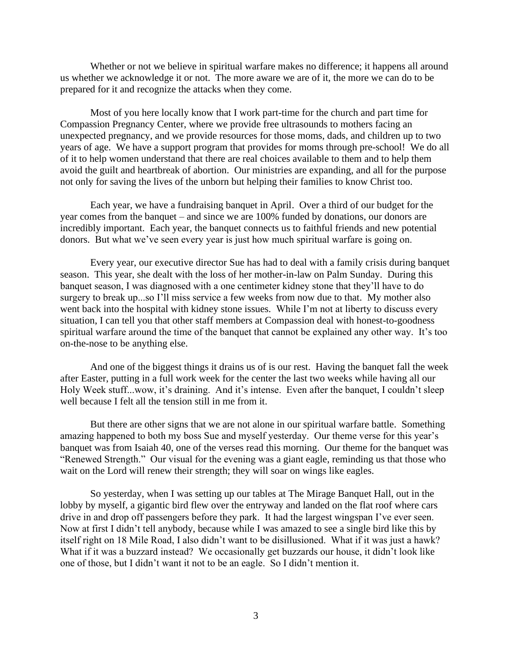Whether or not we believe in spiritual warfare makes no difference; it happens all around us whether we acknowledge it or not. The more aware we are of it, the more we can do to be prepared for it and recognize the attacks when they come.

Most of you here locally know that I work part-time for the church and part time for Compassion Pregnancy Center, where we provide free ultrasounds to mothers facing an unexpected pregnancy, and we provide resources for those moms, dads, and children up to two years of age. We have a support program that provides for moms through pre-school! We do all of it to help women understand that there are real choices available to them and to help them avoid the guilt and heartbreak of abortion. Our ministries are expanding, and all for the purpose not only for saving the lives of the unborn but helping their families to know Christ too.

Each year, we have a fundraising banquet in April. Over a third of our budget for the year comes from the banquet – and since we are 100% funded by donations, our donors are incredibly important. Each year, the banquet connects us to faithful friends and new potential donors. But what we've seen every year is just how much spiritual warfare is going on.

Every year, our executive director Sue has had to deal with a family crisis during banquet season. This year, she dealt with the loss of her mother-in-law on Palm Sunday. During this banquet season, I was diagnosed with a one centimeter kidney stone that they'll have to do surgery to break up...so I'll miss service a few weeks from now due to that. My mother also went back into the hospital with kidney stone issues. While I'm not at liberty to discuss every situation, I can tell you that other staff members at Compassion deal with honest-to-goodness spiritual warfare around the time of the banquet that cannot be explained any other way. It's too on-the-nose to be anything else.

And one of the biggest things it drains us of is our rest. Having the banquet fall the week after Easter, putting in a full work week for the center the last two weeks while having all our Holy Week stuff...wow, it's draining. And it's intense. Even after the banquet, I couldn't sleep well because I felt all the tension still in me from it.

But there are other signs that we are not alone in our spiritual warfare battle. Something amazing happened to both my boss Sue and myself yesterday. Our theme verse for this year's banquet was from Isaiah 40, one of the verses read this morning. Our theme for the banquet was "Renewed Strength." Our visual for the evening was a giant eagle, reminding us that those who wait on the Lord will renew their strength; they will soar on wings like eagles.

So yesterday, when I was setting up our tables at The Mirage Banquet Hall, out in the lobby by myself, a gigantic bird flew over the entryway and landed on the flat roof where cars drive in and drop off passengers before they park. It had the largest wingspan I've ever seen. Now at first I didn't tell anybody, because while I was amazed to see a single bird like this by itself right on 18 Mile Road, I also didn't want to be disillusioned. What if it was just a hawk? What if it was a buzzard instead? We occasionally get buzzards our house, it didn't look like one of those, but I didn't want it not to be an eagle. So I didn't mention it.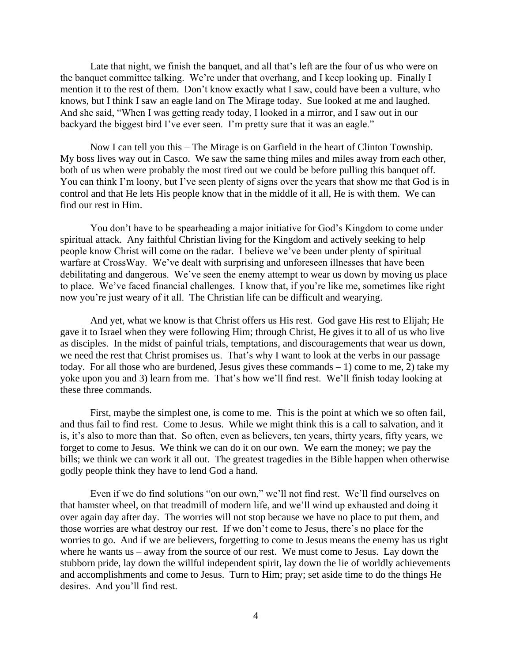Late that night, we finish the banquet, and all that's left are the four of us who were on the banquet committee talking. We're under that overhang, and I keep looking up. Finally I mention it to the rest of them. Don't know exactly what I saw, could have been a vulture, who knows, but I think I saw an eagle land on The Mirage today. Sue looked at me and laughed. And she said, "When I was getting ready today, I looked in a mirror, and I saw out in our backyard the biggest bird I've ever seen. I'm pretty sure that it was an eagle."

Now I can tell you this – The Mirage is on Garfield in the heart of Clinton Township. My boss lives way out in Casco. We saw the same thing miles and miles away from each other, both of us when were probably the most tired out we could be before pulling this banquet off. You can think I'm loony, but I've seen plenty of signs over the years that show me that God is in control and that He lets His people know that in the middle of it all, He is with them. We can find our rest in Him.

You don't have to be spearheading a major initiative for God's Kingdom to come under spiritual attack. Any faithful Christian living for the Kingdom and actively seeking to help people know Christ will come on the radar. I believe we've been under plenty of spiritual warfare at CrossWay. We've dealt with surprising and unforeseen illnesses that have been debilitating and dangerous. We've seen the enemy attempt to wear us down by moving us place to place. We've faced financial challenges. I know that, if you're like me, sometimes like right now you're just weary of it all. The Christian life can be difficult and wearying.

And yet, what we know is that Christ offers us His rest. God gave His rest to Elijah; He gave it to Israel when they were following Him; through Christ, He gives it to all of us who live as disciples. In the midst of painful trials, temptations, and discouragements that wear us down, we need the rest that Christ promises us. That's why I want to look at the verbs in our passage today. For all those who are burdened, Jesus gives these commands  $-1$ ) come to me, 2) take my yoke upon you and 3) learn from me. That's how we'll find rest. We'll finish today looking at these three commands.

First, maybe the simplest one, is come to me. This is the point at which we so often fail, and thus fail to find rest. Come to Jesus. While we might think this is a call to salvation, and it is, it's also to more than that. So often, even as believers, ten years, thirty years, fifty years, we forget to come to Jesus. We think we can do it on our own. We earn the money; we pay the bills; we think we can work it all out. The greatest tragedies in the Bible happen when otherwise godly people think they have to lend God a hand.

Even if we do find solutions "on our own," we'll not find rest. We'll find ourselves on that hamster wheel, on that treadmill of modern life, and we'll wind up exhausted and doing it over again day after day. The worries will not stop because we have no place to put them, and those worries are what destroy our rest. If we don't come to Jesus, there's no place for the worries to go. And if we are believers, forgetting to come to Jesus means the enemy has us right where he wants us – away from the source of our rest. We must come to Jesus. Lay down the stubborn pride, lay down the willful independent spirit, lay down the lie of worldly achievements and accomplishments and come to Jesus. Turn to Him; pray; set aside time to do the things He desires. And you'll find rest.